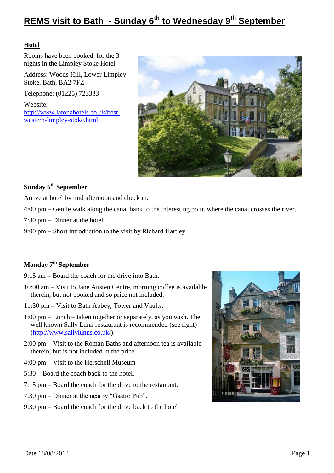## **Hotel**

Rooms have been booked for the 3 nights in the Limpley Stoke Hotel

Address: Woods Hill, Lower Limpley Stoke, Bath, BA2 7FZ

Telephone: (01225) 723333

Website: [http://www.latonahotels.co.uk/best](http://www.latonahotels.co.uk/best-western-limpley-stoke.html)[western-limpley-stoke.html](http://www.latonahotels.co.uk/best-western-limpley-stoke.html)



# **Sunday 6th September**

Arrive at hotel by mid afternoon and check in.

4:00 pm – Gentle walk along the canal bank to the interesting point where the canal crosses the river.

7:30 pm – Dinner at the hotel.

9:00 pm – Short introduction to the visit by Richard Hartley.

# **Monday 7th September**

9:15 am – Board the coach for the drive into Bath.

- 10:00 am Visit to Jane Austen Centre, morning coffee is available therein, but not booked and so price not included.
- 11:30 pm Visit to Bath Abbey, Tower and Vaults.
- 1:00 pm Lunch taken together or separately, as you wish. The well known Sally Lunn restaurant is recommended (see right) [\(http://www.sallylunns.co.uk/\)](http://www.sallylunns.co.uk/).
- 2:00 pm Visit to the Roman Baths and afternoon tea is available therein, but is not included in the price.
- 4:00 pm Visit to the Herschell Museum
- 5:30 Board the coach back to the hotel.
- 7:15 pm Board the coach for the drive to the restaurant.
- 7:30 pm Dinner at the nearby "Gastro Pub".
- 9:30 pm Board the coach for the drive back to the hotel

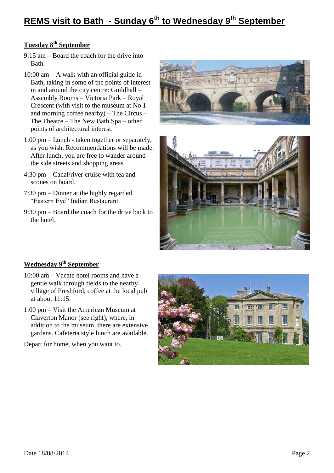# **Tuesday 8th September**

- 9:15 am Board the coach for the drive into Bath.
- 10:00 am A walk with an official guide in Bath, taking in some of the points of interest in and around the city centre: Guildhall – Assembly Rooms – Victoria Park – Royal Crescent (with visit to the museum at No 1 and morning coffee nearby) – The Circus – The Theatre – The New Bath Spa – other points of architectural interest.
- 1:00 pm Lunch taken together or separately, as you wish. Recommendations will be made. After lunch, you are free to wander around the side streets and shopping areas.
- 4:30 pm Canal/river cruise with tea and scones on board.
- 7:30 pm Dinner at the highly regarded "Eastern Eye" Indian Restaurant.
- 9:30 pm Board the coach for the drive back to the hotel.





# **Wednesday 9th September**

- 10:00 am Vacate hotel rooms and have a gentle walk through fields to the nearby village of Freshford, coffee at the local pub at about 11:15.
- 1:00 pm Visit the American Museum at Claverton Manor (see right), where, in addition to the museum, there are extensive gardens. Cafeteria style lunch are available.

Depart for home, when you want to.